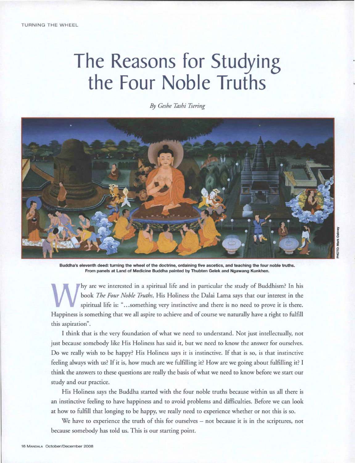# **The Reasons for Studying the Four Noble Truths**

*By Geshe Tashi Tsering* 



**Buddha's eleventh deed: turning the wheel of the doctrine, ordaining five ascetics, and teaching the four noble truths. From panels at Land of Medicine Buddha painted by Thubten Gelek and Ngawang Kunkhen.** 

 $\mathbf{W}_{\mathbf{s}}^{\mathbf{b}}$ hyare we interested in a spiritual life and in particular the study of Buddhism? In his book *The Four Noble Truths,* His Holiness the Dalai Lama says that our interest in the spiritual life is: "...something very instinctive and there is no need to prove it is there. Happiness is something that we all aspire to achieve and of course we naturally have a right to fulfill this aspiration".

I think that is the very foundation of what we need to understand. Not just intellectually, not just because somebody like His Holiness has said it, but we need to know the answer for ourselves. Do we really wish to be happy? His Holiness says it is instinctive. If that is so, is that instinctive feeling always with us? If it is, how much are we fulfilling it? How are we going about fulfilling it? I think the answers to these questions are really the basis of what we need to know before we start our study and our practice.

His Holiness says the Buddha started with the four noble truths because within us all there is an instinctive feeling to have happiness and to avoid problems and difficulties. Before we can look at how to fulfill that longing to be happy, we really need to experience whether or not this is so.

We have to experience the truth of this for ourselves — not because it is in the scriptures, not because somebody has told us. This is our starting point.